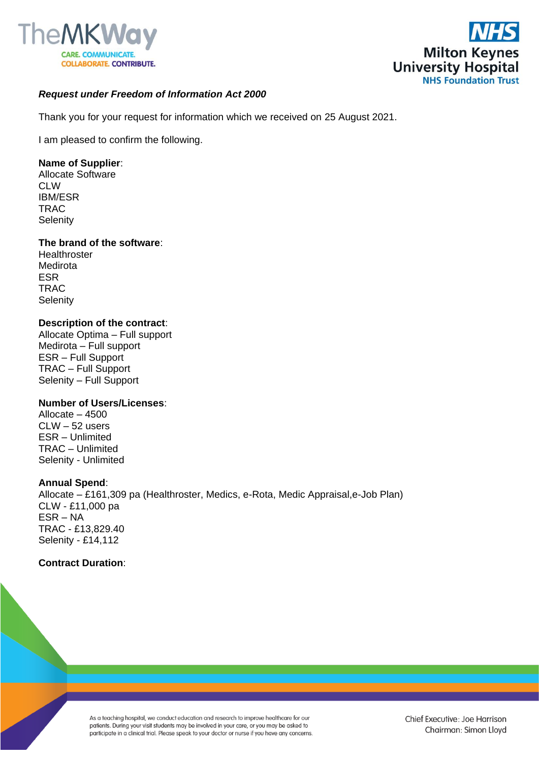



# *Request under Freedom of Information Act 2000*

Thank you for your request for information which we received on 25 August 2021.

I am pleased to confirm the following.

# **Name of Supplier**:

Allocate Software CLW IBM/ESR TRAC **Selenity** 

## **The brand of the software**:

**Healthroster** Medirota ESR **TRAC Selenity** 

## **Description of the contract**:

Allocate Optima – Full support Medirota – Full support ESR – Full Support TRAC – Full Support Selenity – Full Support

## **Number of Users/Licenses**:

Allocate – 4500 CLW – 52 users ESR – Unlimited TRAC – Unlimited Selenity - Unlimited

## **Annual Spend**:

Allocate – £161,309 pa (Healthroster, Medics, e-Rota, Medic Appraisal,e-Job Plan) CLW - £11,000 pa ESR – NA TRAC - £13,829.40 Selenity - £14,112

## **Contract Duration**:

As a teaching hospital, we conduct education and research to improve healthcare for our patients. During your visit students may be involved in your care, or you may be asked to participate in a clinical trial. Please speak to your doctor or nurse if you have any concerns.